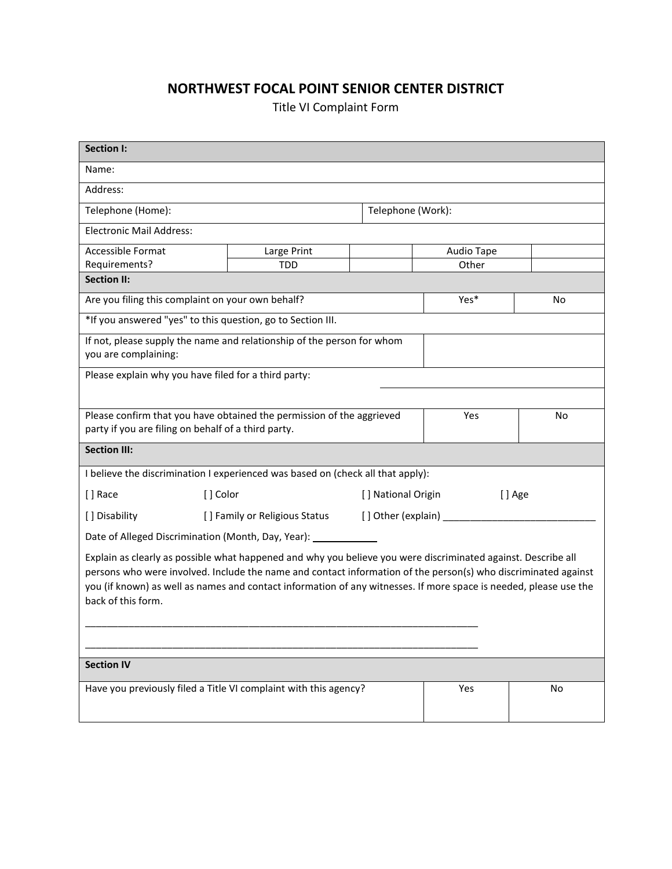## **NORTHWEST FOCAL POINT SENIOR CENTER DISTRICT**

Title VI Complaint Form

| Section I:                                                                                                                                                                                                                                                                                                                                                                 |                                                              |  |                               |    |  |
|----------------------------------------------------------------------------------------------------------------------------------------------------------------------------------------------------------------------------------------------------------------------------------------------------------------------------------------------------------------------------|--------------------------------------------------------------|--|-------------------------------|----|--|
| Name:                                                                                                                                                                                                                                                                                                                                                                      |                                                              |  |                               |    |  |
| Address:                                                                                                                                                                                                                                                                                                                                                                   |                                                              |  |                               |    |  |
| Telephone (Home):                                                                                                                                                                                                                                                                                                                                                          |                                                              |  | Telephone (Work):             |    |  |
| <b>Electronic Mail Address:</b>                                                                                                                                                                                                                                                                                                                                            |                                                              |  |                               |    |  |
| Accessible Format                                                                                                                                                                                                                                                                                                                                                          | Large Print                                                  |  | Audio Tape                    |    |  |
| Requirements?                                                                                                                                                                                                                                                                                                                                                              | <b>TDD</b>                                                   |  | Other                         |    |  |
| <b>Section II:</b>                                                                                                                                                                                                                                                                                                                                                         |                                                              |  |                               |    |  |
| Are you filing this complaint on your own behalf?                                                                                                                                                                                                                                                                                                                          |                                                              |  | Yes*                          | No |  |
| *If you answered "yes" to this question, go to Section III.                                                                                                                                                                                                                                                                                                                |                                                              |  |                               |    |  |
| If not, please supply the name and relationship of the person for whom<br>you are complaining:                                                                                                                                                                                                                                                                             |                                                              |  |                               |    |  |
| Please explain why you have filed for a third party:                                                                                                                                                                                                                                                                                                                       |                                                              |  |                               |    |  |
|                                                                                                                                                                                                                                                                                                                                                                            |                                                              |  |                               |    |  |
| Please confirm that you have obtained the permission of the aggrieved                                                                                                                                                                                                                                                                                                      |                                                              |  | Yes                           | No |  |
| party if you are filing on behalf of a third party.                                                                                                                                                                                                                                                                                                                        |                                                              |  |                               |    |  |
| <b>Section III:</b>                                                                                                                                                                                                                                                                                                                                                        |                                                              |  |                               |    |  |
| I believe the discrimination I experienced was based on (check all that apply):                                                                                                                                                                                                                                                                                            |                                                              |  |                               |    |  |
| [] Race                                                                                                                                                                                                                                                                                                                                                                    | [] Color                                                     |  | [ ] National Origin<br>[] Age |    |  |
| [] Disability                                                                                                                                                                                                                                                                                                                                                              | [] Family or Religious Status<br>[] Other (explain) ________ |  |                               |    |  |
| Date of Alleged Discrimination (Month, Day, Year):                                                                                                                                                                                                                                                                                                                         |                                                              |  |                               |    |  |
| Explain as clearly as possible what happened and why you believe you were discriminated against. Describe all<br>persons who were involved. Include the name and contact information of the person(s) who discriminated against<br>you (if known) as well as names and contact information of any witnesses. If more space is needed, please use the<br>back of this form. |                                                              |  |                               |    |  |
|                                                                                                                                                                                                                                                                                                                                                                            |                                                              |  |                               |    |  |
| <b>Section IV</b>                                                                                                                                                                                                                                                                                                                                                          |                                                              |  |                               |    |  |
| Have you previously filed a Title VI complaint with this agency?                                                                                                                                                                                                                                                                                                           |                                                              |  | Yes                           | No |  |